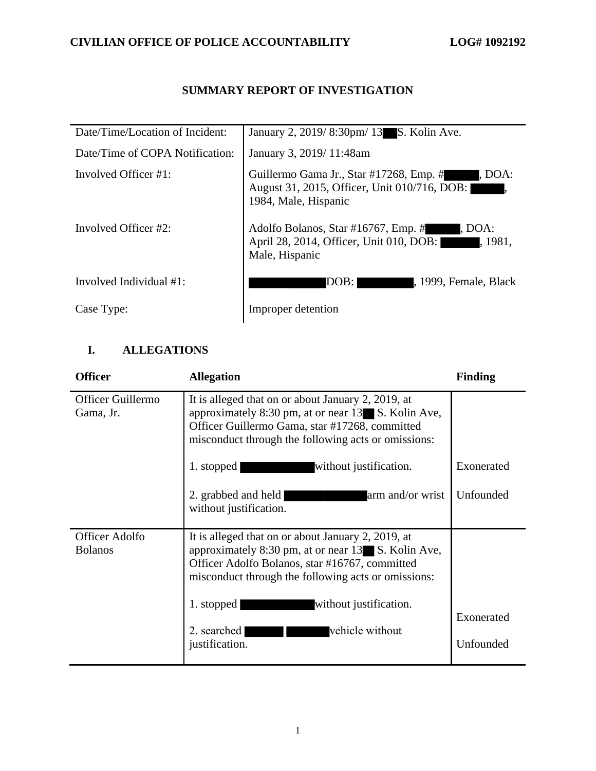### **SUMMARY REPORT OF INVESTIGATION**

| Date/Time/Location of Incident: | January 2, 2019/8:30pm/13 S. Kolin Ave.                                                                                   |
|---------------------------------|---------------------------------------------------------------------------------------------------------------------------|
| Date/Time of COPA Notification: | January 3, 2019/11:48am                                                                                                   |
| Involved Officer #1:            | Guillermo Gama Jr., Star #17268, Emp. #<br>. DOA:<br>August 31, 2015, Officer, Unit 010/716, DOB:<br>1984, Male, Hispanic |
| Involved Officer #2:            | Adolfo Bolanos, Star #16767, Emp. #<br>, DOA:<br>April 28, 2014, Officer, Unit 010, DOB:<br>1.1981,<br>Male, Hispanic     |
| Involved Individual $#1$ :      | DOB:<br>, 1999, Female, Black                                                                                             |
| Case Type:                      | Improper detention                                                                                                        |

## **I. ALLEGATIONS**

| <b>Officer</b>                          | <b>Allegation</b>                                                                                                                                                                                                 | <b>Finding</b> |
|-----------------------------------------|-------------------------------------------------------------------------------------------------------------------------------------------------------------------------------------------------------------------|----------------|
| Officer Guillermo<br>Gama, Jr.          | It is alleged that on or about January 2, 2019, at<br>approximately 8:30 pm, at or near 13 S. Kolin Ave,<br>Officer Guillermo Gama, star #17268, committed<br>misconduct through the following acts or omissions: |                |
|                                         | without justification.<br>1. stopped                                                                                                                                                                              | Exonerated     |
|                                         | 2. grabbed and held<br>arm and/or wrist<br>without justification.                                                                                                                                                 | Unfounded      |
| <b>Officer Adolfo</b><br><b>Bolanos</b> | It is alleged that on or about January 2, 2019, at<br>approximately 8:30 pm, at or near 13 S. Kolin Ave,<br>Officer Adolfo Bolanos, star #16767, committed<br>misconduct through the following acts or omissions: |                |
|                                         | without justification.<br>1. stopped                                                                                                                                                                              | Exonerated     |
|                                         | vehicle without<br>2. searched<br>justification.                                                                                                                                                                  | Unfounded      |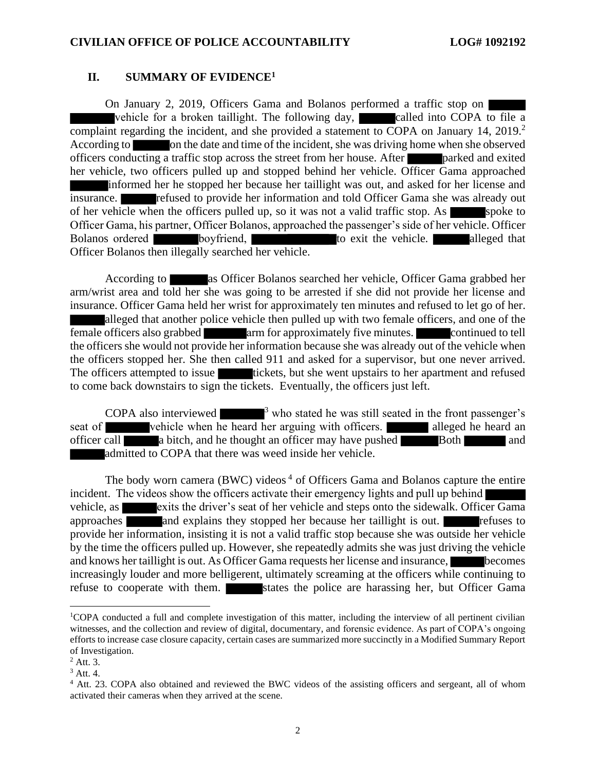#### **II. SUMMARY OF EVIDENCE<sup>1</sup>**

On January 2, 2019, Officers Gama and Bolanos performed a traffic stop on vehicle for a broken taillight. The following day, called into COPA to file a complaint regarding the incident, and she provided a statement to COPA on January 14, 2019.<sup>2</sup> According to on the date and time of the incident, she was driving home when she observed officers conducting a traffic stop across the street from her house. After **parked and exited** her vehicle, two officers pulled up and stopped behind her vehicle. Officer Gama approached informed her he stopped her because her taillight was out, and asked for her license and insurance. **refused to provide her information and told Officer Gama she was already out** of her vehicle when the officers pulled up, so it was not a valid traffic stop. As spoke to Officer Gama, his partner, Officer Bolanos, approached the passenger's side of her vehicle. Officer Bolanos ordered boyfriend, to exit the vehicle. alleged that Officer Bolanos then illegally searched her vehicle.

According to as Officer Bolanos searched her vehicle, Officer Gama grabbed her arm/wrist area and told her she was going to be arrested if she did not provide her license and insurance. Officer Gama held her wrist for approximately ten minutes and refused to let go of her. alleged that another police vehicle then pulled up with two female officers, and one of the female officers also grabbed arm for approximately five minutes. continued to tell the officers she would not provide her information because she was already out of the vehicle when the officers stopped her. She then called 911 and asked for a supervisor, but one never arrived. The officers attempted to issue tickets, but she went upstairs to her apartment and refused to come back downstairs to sign the tickets. Eventually, the officers just left.

COPA also interviewed  $\frac{3}{10}$  who stated he was still seated in the front passenger's seat of vehicle when he heard her arguing with officers. officer call a bitch, and he thought an officer may have pushed Both Both and admitted to COPA that there was weed inside her vehicle.

The body worn camera (BWC) videos<sup>4</sup> of Officers Gama and Bolanos capture the entire incident. The videos show the officers activate their emergency lights and pull up behind vehicle, as exits the driver's seat of her vehicle and steps onto the sidewalk. Officer Gama approaches and explains they stopped her because her taillight is out. The refuses to provide her information, insisting it is not a valid traffic stop because she was outside her vehicle by the time the officers pulled up. However, she repeatedly admits she was just driving the vehicle and knows her taillight is out. As Officer Gama requests her license and insurance, becomes increasingly louder and more belligerent, ultimately screaming at the officers while continuing to refuse to cooperate with them. States the police are harassing her, but Officer Gama

<sup>1</sup>COPA conducted a full and complete investigation of this matter, including the interview of all pertinent civilian witnesses, and the collection and review of digital, documentary, and forensic evidence. As part of COPA's ongoing efforts to increase case closure capacity, certain cases are summarized more succinctly in a Modified Summary Report of Investigation.

 $<sup>2</sup>$  Att. 3.</sup>

<sup>3</sup> Att. 4.

<sup>4</sup> Att. 23. COPA also obtained and reviewed the BWC videos of the assisting officers and sergeant, all of whom activated their cameras when they arrived at the scene.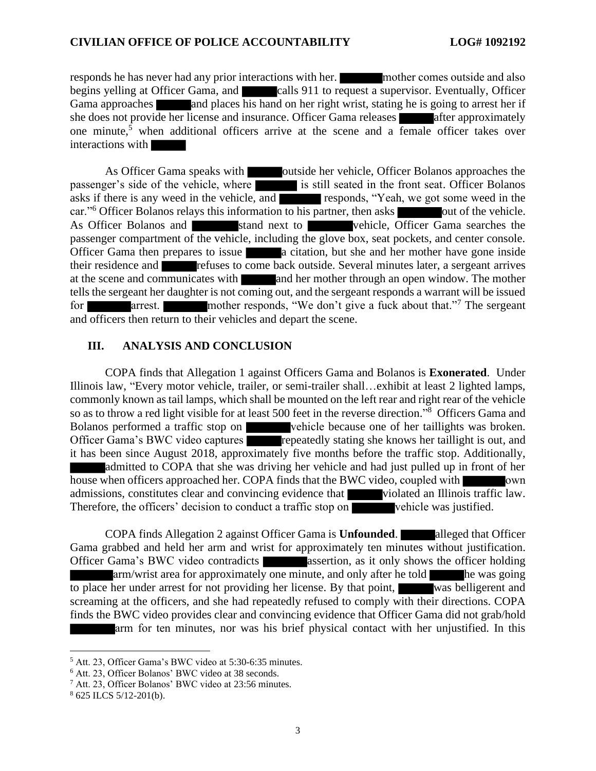responds he has never had any prior interactions with her. mother comes outside and also begins yelling at Officer Gama, and calls 911 to request a supervisor. Eventually, Officer Gama approaches and places his hand on her right wrist, stating he is going to arrest her if she does not provide her license and insurance. Officer Gama releases after approximately one minute, <sup>5</sup> when additional officers arrive at the scene and a female officer takes over interactions with

As Officer Gama speaks with outside her vehicle, Officer Bolanos approaches the passenger's side of the vehicle, where is still seated in the front seat. Officer Bolanos asks if there is any weed in the vehicle, and responds, "Yeah, we got some weed in the car."<sup>6</sup> Officer Bolanos relays this information to his partner, then asks out of the vehicle. As Officer Bolanos and stand next to vehicle, Officer Gama searches the passenger compartment of the vehicle, including the glove box, seat pockets, and center console. Officer Gama then prepares to issue **a** citation, but she and her mother have gone inside their residence and refuses to come back outside. Several minutes later, a sergeant arrives at the scene and communicates with and her mother through an open window. The mother tells the sergeant her daughter is not coming out, and the sergeant responds a warrant will be issued for arrest. mother responds, "We don't give a fuck about that."<sup>7</sup> The sergeant and officers then return to their vehicles and depart the scene.

#### **III. ANALYSIS AND CONCLUSION**

COPA finds that Allegation 1 against Officers Gama and Bolanos is **Exonerated**. Under Illinois law, "Every motor vehicle, trailer, or semi-trailer shall…exhibit at least 2 lighted lamps, commonly known as tail lamps, which shall be mounted on the left rear and right rear of the vehicle so as to throw a red light visible for at least 500 feet in the reverse direction."<sup>8</sup> Officers Gama and Bolanos performed a traffic stop on vehicle because one of her taillights was broken. Officer Gama's BWC video captures repeatedly stating she knows her taillight is out, and it has been since August 2018, approximately five months before the traffic stop. Additionally, admitted to COPA that she was driving her vehicle and had just pulled up in front of her house when officers approached her. COPA finds that the BWC video, coupled with own admissions, constitutes clear and convincing evidence that violated an Illinois traffic law. Therefore, the officers' decision to conduct a traffic stop on vehicle was justified.

COPA finds Allegation 2 against Officer Gama is **Unfounded**. **alleged that Officer** Gama grabbed and held her arm and wrist for approximately ten minutes without justification. Officer Gama's BWC video contradicts assertion, as it only shows the officer holding arm/wrist area for approximately one minute, and only after he told he was going to place her under arrest for not providing her license. By that point, was belligerent and screaming at the officers, and she had repeatedly refused to comply with their directions. COPA finds the BWC video provides clear and convincing evidence that Officer Gama did not grab/hold arm for ten minutes, nor was his brief physical contact with her unjustified. In this

<sup>5</sup> Att. 23, Officer Gama's BWC video at 5:30-6:35 minutes.

<sup>6</sup> Att. 23, Officer Bolanos' BWC video at 38 seconds.

<sup>7</sup> Att. 23, Officer Bolanos' BWC video at 23:56 minutes.

<sup>8</sup> 625 ILCS 5/12-201(b).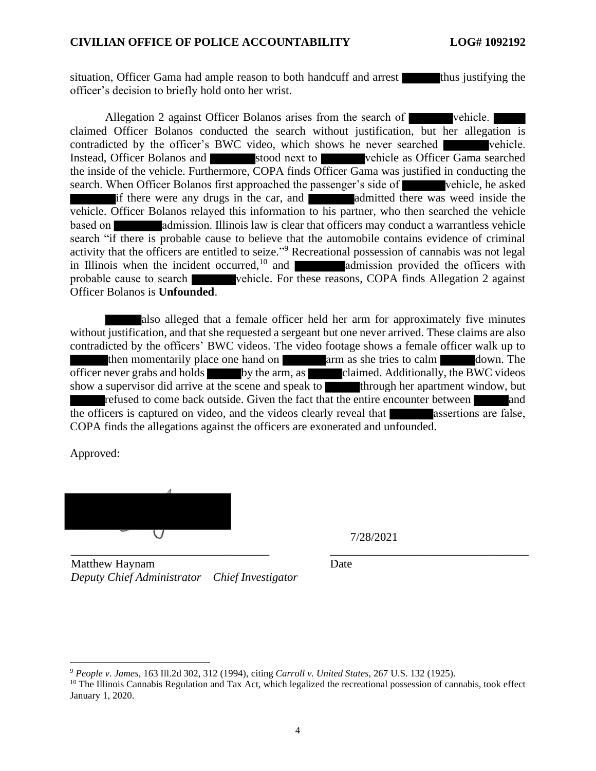situation, Officer Gama had ample reason to both handcuff and arrest thus justifying the officer's decision to briefly hold onto her wrist.

Allegation 2 against Officer Bolanos arises from the search of vehicle. claimed Officer Bolanos conducted the search without justification, but her allegation is contradicted by the officer's BWC video, which shows he never searched vehicle. Instead, Officer Bolanos and stood next to vehicle as Officer Gama searched the inside of the vehicle. Furthermore, COPA finds Officer Gama was justified in conducting the search. When Officer Bolanos first approached the passenger's side of vehicle, he asked if there were any drugs in the car, and **a**dmitted there was weed inside the vehicle. Officer Bolanos relayed this information to his partner, who then searched the vehicle based on admission. Illinois law is clear that officers may conduct a warrantless vehicle search "if there is probable cause to believe that the automobile contains evidence of criminal activity that the officers are entitled to seize."<sup>9</sup> Recreational possession of cannabis was not legal in Illinois when the incident occurred,<sup>10</sup> and **admission** provided the officers with probable cause to search vehicle. For these reasons, COPA finds Allegation 2 against Officer Bolanos is **Unfounded**.

also alleged that a female officer held her arm for approximately five minutes without justification, and that she requested a sergeant but one never arrived. These claims are also contradicted by the officers' BWC videos. The video footage shows a female officer walk up to then momentarily place one hand on arm as she tries to calm down. The officer never grabs and holds by the arm, as claimed. Additionally, the BWC videos show a supervisor did arrive at the scene and speak to through her apartment window, but refused to come back outside. Given the fact that the entire encounter between and the officers is captured on video, and the videos clearly reveal that assertions are false, COPA finds the allegations against the officers are exonerated and unfounded.

Approved:



7/28/2021

Matthew Haynam *Deputy Chief Administrator – Chief Investigator*

Date

<sup>9</sup> *People v. James*, 163 Ill.2d 302, 312 (1994), citing *Carroll v. United States*, 267 U.S. 132 (1925).

 $10$  The Illinois Cannabis Regulation and Tax Act, which legalized the recreational possession of cannabis, took effect January 1, 2020.